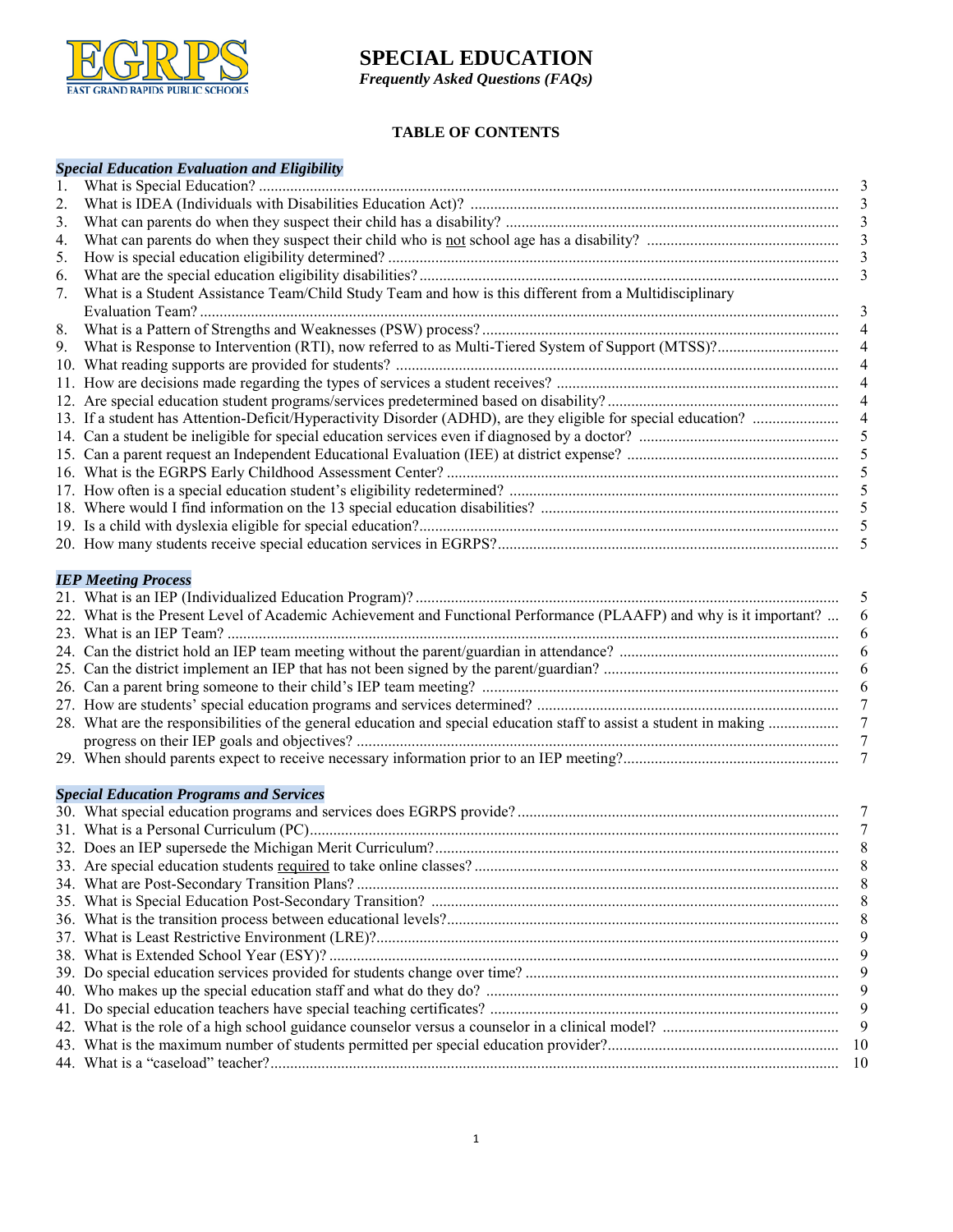

*Frequently Asked Questions (FAQs)* 

## **TABLE OF CONTENTS**

# *Special Education Evaluation and Eligibility*

| 1. |                                                                                                                      | 3              |
|----|----------------------------------------------------------------------------------------------------------------------|----------------|
| 2. |                                                                                                                      | 3              |
| 3. |                                                                                                                      | $\mathfrak{Z}$ |
| 4. |                                                                                                                      | $\mathfrak{Z}$ |
| 5. |                                                                                                                      | 3              |
| 6. |                                                                                                                      | 3              |
| 7. | What is a Student Assistance Team/Child Study Team and how is this different from a Multidisciplinary                |                |
|    |                                                                                                                      | 3              |
| 8. |                                                                                                                      | $\overline{4}$ |
| 9. |                                                                                                                      | 4              |
|    |                                                                                                                      | 4              |
|    |                                                                                                                      | 4              |
|    |                                                                                                                      | $\overline{4}$ |
|    |                                                                                                                      | $\overline{4}$ |
|    |                                                                                                                      | 5              |
|    |                                                                                                                      | 5              |
|    |                                                                                                                      | 5              |
|    |                                                                                                                      | 5              |
|    |                                                                                                                      | 5              |
|    |                                                                                                                      | 5              |
|    |                                                                                                                      | 5              |
|    |                                                                                                                      |                |
|    | <b>IEP Meeting Process</b>                                                                                           |                |
|    |                                                                                                                      | 5              |
|    | 22. What is the Present Level of Academic Achievement and Functional Performance (PLAAFP) and why is it important?   | 6              |
|    |                                                                                                                      | 6              |
|    |                                                                                                                      | 6              |
|    |                                                                                                                      | 6              |
|    |                                                                                                                      | 6              |
|    |                                                                                                                      | 7              |
|    | 28. What are the responsibilities of the general education and special education staff to assist a student in making | 7              |
|    |                                                                                                                      | 7              |
|    |                                                                                                                      | $\tau$         |
|    |                                                                                                                      |                |
|    | <b>Special Education Programs and Services</b>                                                                       |                |
|    |                                                                                                                      | $\tau$         |
|    |                                                                                                                      | $\tau$         |
|    |                                                                                                                      | 8              |
|    |                                                                                                                      | 8              |
|    |                                                                                                                      | 8              |
|    |                                                                                                                      | 8              |
|    |                                                                                                                      | 8              |
|    |                                                                                                                      |                |
|    |                                                                                                                      | 9              |
|    |                                                                                                                      | 9              |
|    |                                                                                                                      | 9              |
|    |                                                                                                                      | 9              |
|    |                                                                                                                      | 9              |
|    |                                                                                                                      | -10            |
|    |                                                                                                                      |                |
|    |                                                                                                                      |                |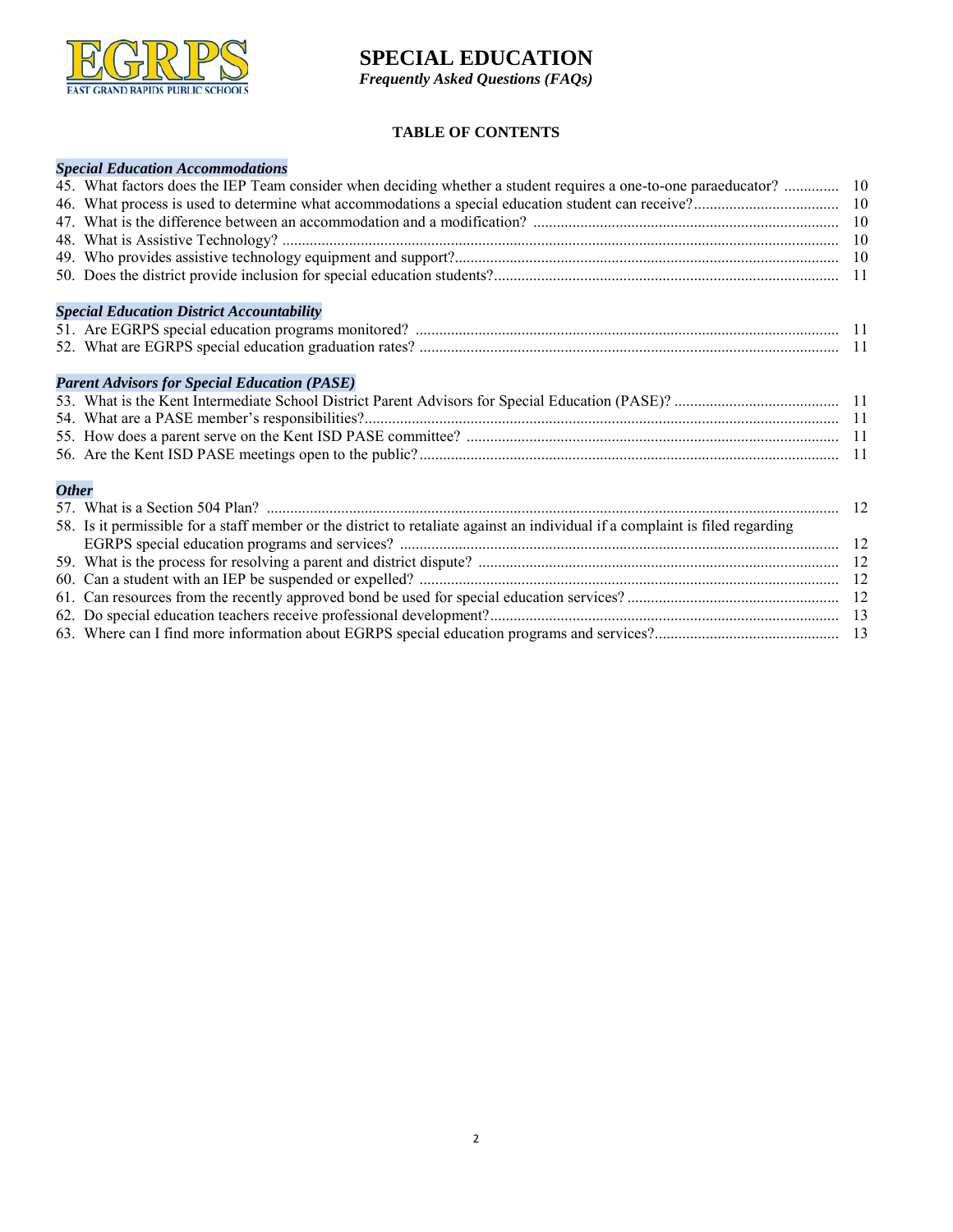

*Frequently Asked Questions (FAQs)* 

### **TABLE OF CONTENTS**

| <b>Special Education Accommodations</b> |  |
|-----------------------------------------|--|
| 45 What feators does the JED Toom       |  |

|              | эресші Еййсанон Ассоттошнону                                                                                                  |  |
|--------------|-------------------------------------------------------------------------------------------------------------------------------|--|
|              | 45. What factors does the IEP Team consider when deciding whether a student requires a one-to-one paraeducator?  10           |  |
|              |                                                                                                                               |  |
|              |                                                                                                                               |  |
|              |                                                                                                                               |  |
|              |                                                                                                                               |  |
|              |                                                                                                                               |  |
|              | <b>Special Education District Accountability</b>                                                                              |  |
|              |                                                                                                                               |  |
|              |                                                                                                                               |  |
|              | <b>Parent Advisors for Special Education (PASE)</b>                                                                           |  |
|              |                                                                                                                               |  |
|              |                                                                                                                               |  |
|              |                                                                                                                               |  |
|              |                                                                                                                               |  |
| <b>Other</b> |                                                                                                                               |  |
|              |                                                                                                                               |  |
|              | 58. Is it permissible for a staff member or the district to retaliate against an individual if a complaint is filed regarding |  |
|              |                                                                                                                               |  |
|              |                                                                                                                               |  |
|              |                                                                                                                               |  |
|              |                                                                                                                               |  |
|              |                                                                                                                               |  |
|              |                                                                                                                               |  |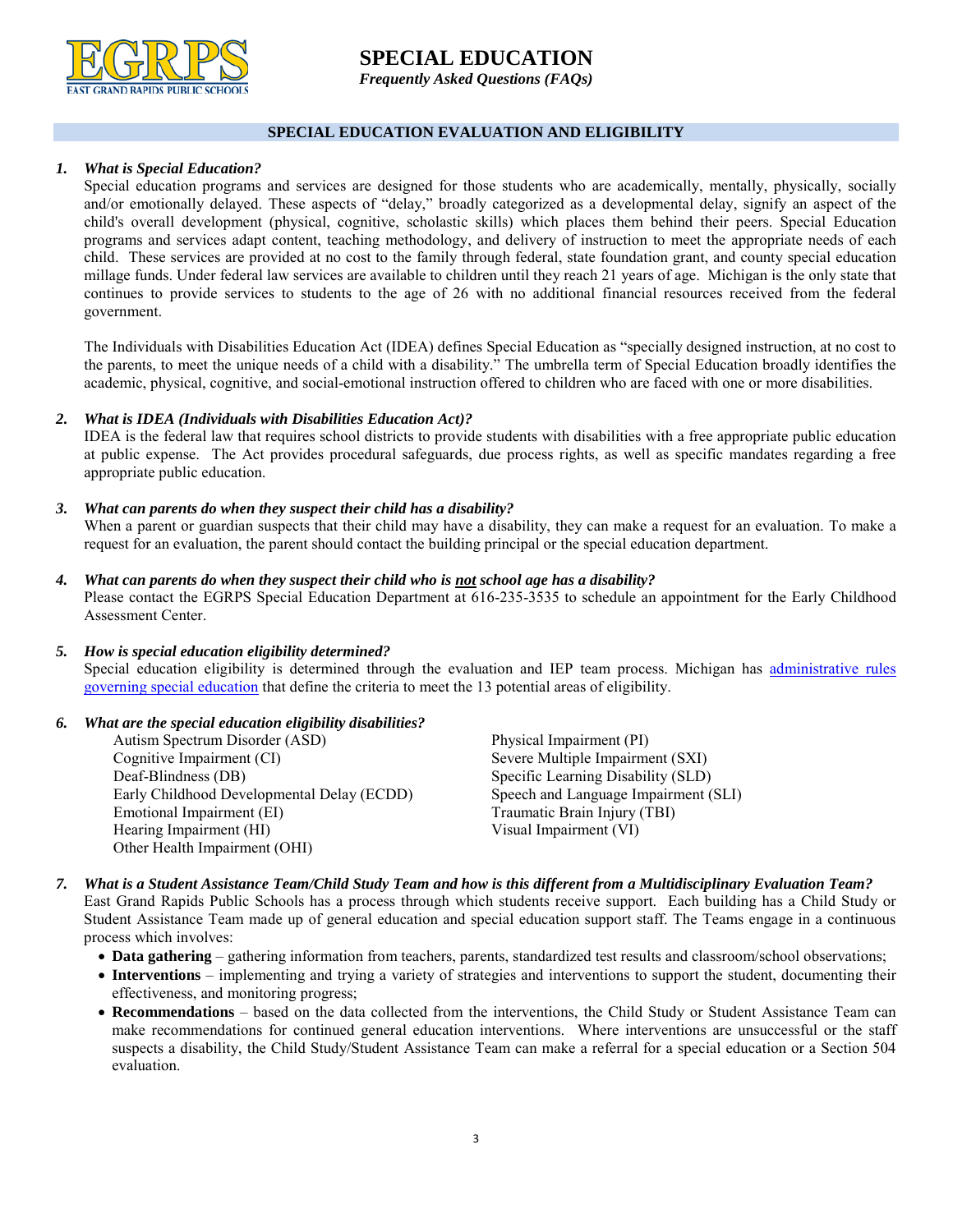

### **SPECIAL EDUCATION EVALUATION AND ELIGIBILITY**

### *1. What is Special Education?*

Special education programs and services are designed for those students who are academically, mentally, physically, socially and/or emotionally delayed. These aspects of "delay," broadly categorized as a developmental delay, signify an aspect of the child's overall development (physical, cognitive, scholastic skills) which places them behind their peers. Special Education programs and services adapt content, teaching methodology, and delivery of instruction to meet the appropriate needs of each child. These services are provided at no cost to the family through federal, state foundation grant, and county special education millage funds. Under federal law services are available to children until they reach 21 years of age. Michigan is the only state that continues to provide services to students to the age of 26 with no additional financial resources received from the federal government.

The Individuals with Disabilities Education Act (IDEA) defines Special Education as "specially designed instruction, at no cost to the parents, to meet the unique needs of a child with a disability." The umbrella term of Special Education broadly identifies the academic, physical, cognitive, and social-emotional instruction offered to children who are faced with one or more disabilities.

### *2. What is IDEA (Individuals with Disabilities Education Act)?*

IDEA is the federal law that requires school districts to provide students with disabilities with a free appropriate public education at public expense. The Act provides procedural safeguards, due process rights, as well as specific mandates regarding a free appropriate public education.

### *3. What can parents do when they suspect their child has a disability?*

When a parent or guardian suspects that their child may have a disability, they can make a request for an evaluation. To make a request for an evaluation, the parent should contact the building principal or the special education department.

*4. What can parents do when they suspect their child who is not school age has a disability?* 

Please contact the EGRPS Special Education Department at 616-235-3535 to schedule an appointment for the Early Childhood Assessment Center.

### *5. How is special education eligibility determined?*

Special education eligibility is determined through the evaluation and IEP team process. Michigan has [administrative rules](http://www.kentisd.org/downloads/sped_forms-guidelines/marse_supplemented_with_idea_regs_379598_7_20121113_160838_37.pdf)  [governing special education](http://www.kentisd.org/downloads/sped_forms-guidelines/marse_supplemented_with_idea_regs_379598_7_20121113_160838_37.pdf) that define the criteria to meet the 13 potential areas of eligibility.

### *6. What are the special education eligibility disabilities?*

Autism Spectrum Disorder (ASD) Cognitive Impairment (CI) Deaf-Blindness (DB) Early Childhood Developmental Delay (ECDD) Emotional Impairment (EI) Hearing Impairment (HI) Other Health Impairment (OHI)

Physical Impairment (PI) Severe Multiple Impairment (SXI) Specific Learning Disability (SLD) Speech and Language Impairment (SLI) Traumatic Brain Injury (TBI) Visual Impairment (VI)

### *7. What is a Student Assistance Team/Child Study Team and how is this different from a Multidisciplinary Evaluation Team?*

East Grand Rapids Public Schools has a process through which students receive support. Each building has a Child Study or Student Assistance Team made up of general education and special education support staff. The Teams engage in a continuous process which involves:

- **Data gathering**  gathering information from teachers, parents, standardized test results and classroom/school observations;
- **Interventions**  implementing and trying a variety of strategies and interventions to support the student, documenting their effectiveness, and monitoring progress;
- **Recommendations**  based on the data collected from the interventions, the Child Study or Student Assistance Team can make recommendations for continued general education interventions. Where interventions are unsuccessful or the staff suspects a disability, the Child Study/Student Assistance Team can make a referral for a special education or a Section 504 evaluation.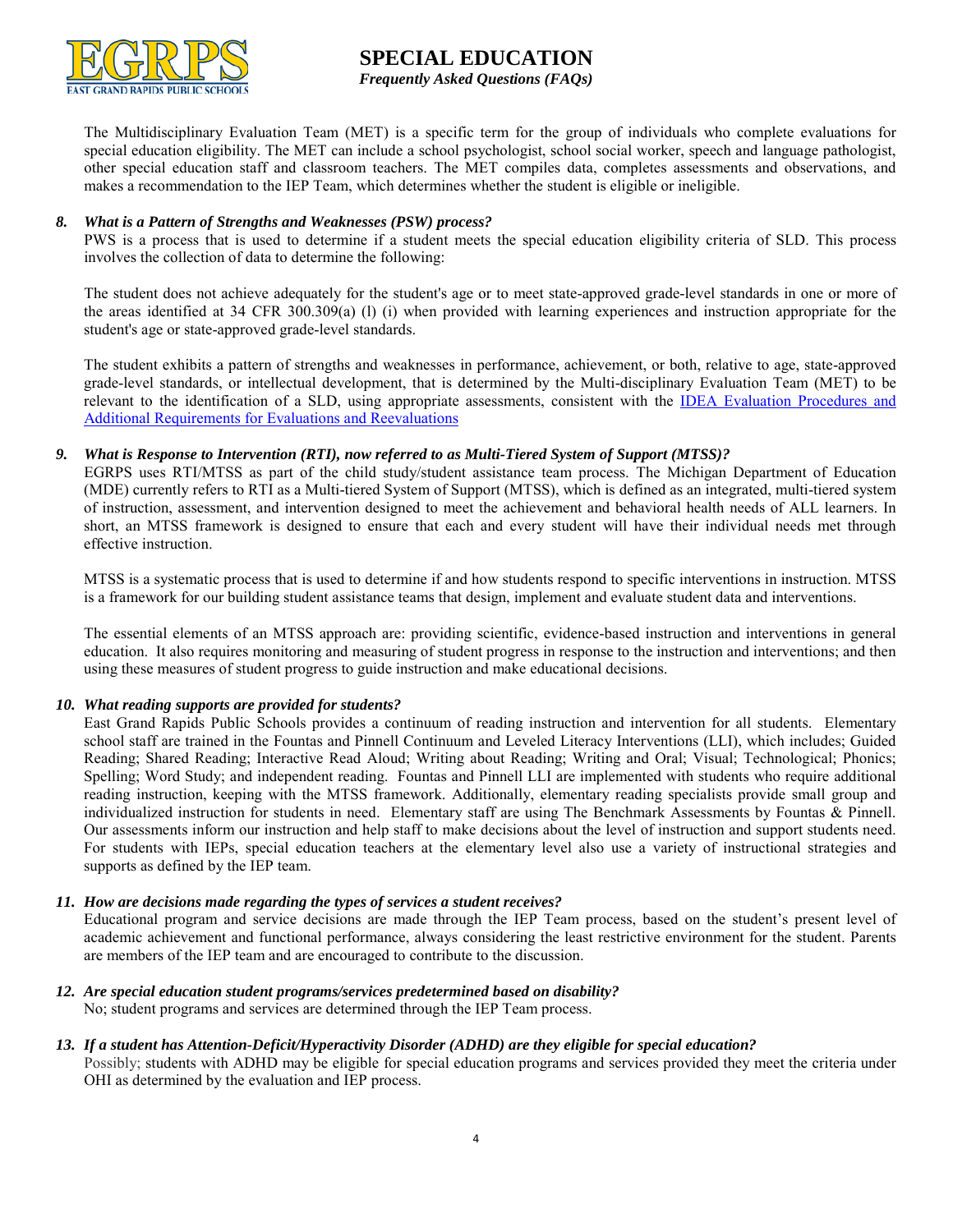

The Multidisciplinary Evaluation Team (MET) is a specific term for the group of individuals who complete evaluations for special education eligibility. The MET can include a school psychologist, school social worker, speech and language pathologist, other special education staff and classroom teachers. The MET compiles data, completes assessments and observations, and makes a recommendation to the IEP Team, which determines whether the student is eligible or ineligible.

### *8. What is a Pattern of Strengths and Weaknesses (PSW) process?*

PWS is a process that is used to determine if a student meets the special education eligibility criteria of SLD. This process involves the collection of data to determine the following:

The student does not achieve adequately for the student's age or to meet state-approved grade-level standards in one or more of the areas identified at 34 CFR 300.309(a) (l) (i) when provided with learning experiences and instruction appropriate for the student's age or state-approved grade-level standards.

The student exhibits a pattern of strengths and weaknesses in performance, achievement, or both, relative to age, state-approved grade-level standards, or intellectual development, that is determined by the Multi-disciplinary Evaluation Team (MET) to be relevant to the identification of a SLD, using appropriate assessments, consistent with the IDEA Evaluation Procedures and [Additional Requirements for Evaluations and Reevaluations](http://www.kentisd.org/downloads/sped_forms-guidelines/eval_eligibility_manual_20121127_154014_7.pdf)

### *9. What is Response to Intervention (RTI), now referred to as Multi-Tiered System of Support (MTSS)?*

EGRPS uses RTI/MTSS as part of the child study/student assistance team process. The Michigan Department of Education (MDE) currently refers to RTI as a Multi-tiered System of Support (MTSS), which is defined as an integrated, multi-tiered system of instruction, assessment, and intervention designed to meet the achievement and behavioral health needs of ALL learners. In short, an MTSS framework is designed to ensure that each and every student will have their individual needs met through effective instruction.

MTSS is a systematic process that is used to determine if and how students respond to specific interventions in instruction. MTSS is a framework for our building student assistance teams that design, implement and evaluate student data and interventions.

The essential elements of an MTSS approach are: providing scientific, evidence-based instruction and interventions in general education. It also requires monitoring and measuring of student progress in response to the instruction and interventions; and then using these measures of student progress to guide instruction and make educational decisions.

### *10. What reading supports are provided for students?*

East Grand Rapids Public Schools provides a continuum of reading instruction and intervention for all students. Elementary school staff are trained in the Fountas and Pinnell Continuum and Leveled Literacy Interventions (LLI), which includes; Guided Reading; Shared Reading; Interactive Read Aloud; Writing about Reading; Writing and Oral; Visual; Technological; Phonics; Spelling; Word Study; and independent reading. Fountas and Pinnell LLI are implemented with students who require additional reading instruction, keeping with the MTSS framework. Additionally, elementary reading specialists provide small group and individualized instruction for students in need. Elementary staff are using The Benchmark Assessments by Fountas & Pinnell. Our assessments inform our instruction and help staff to make decisions about the level of instruction and support students need. For students with IEPs, special education teachers at the elementary level also use a variety of instructional strategies and supports as defined by the IEP team.

### *11. How are decisions made regarding the types of services a student receives?*

Educational program and service decisions are made through the IEP Team process, based on the student's present level of academic achievement and functional performance, always considering the least restrictive environment for the student. Parents are members of the IEP team and are encouraged to contribute to the discussion.

*12. Are special education student programs/services predetermined based on disability?* No; student programs and services are determined through the IEP Team process.

### *13. If a student has Attention-Deficit/Hyperactivity Disorder (ADHD) are they eligible for special education?*

Possibly; students with ADHD may be eligible for special education programs and services provided they meet the criteria under OHI as determined by the evaluation and IEP process.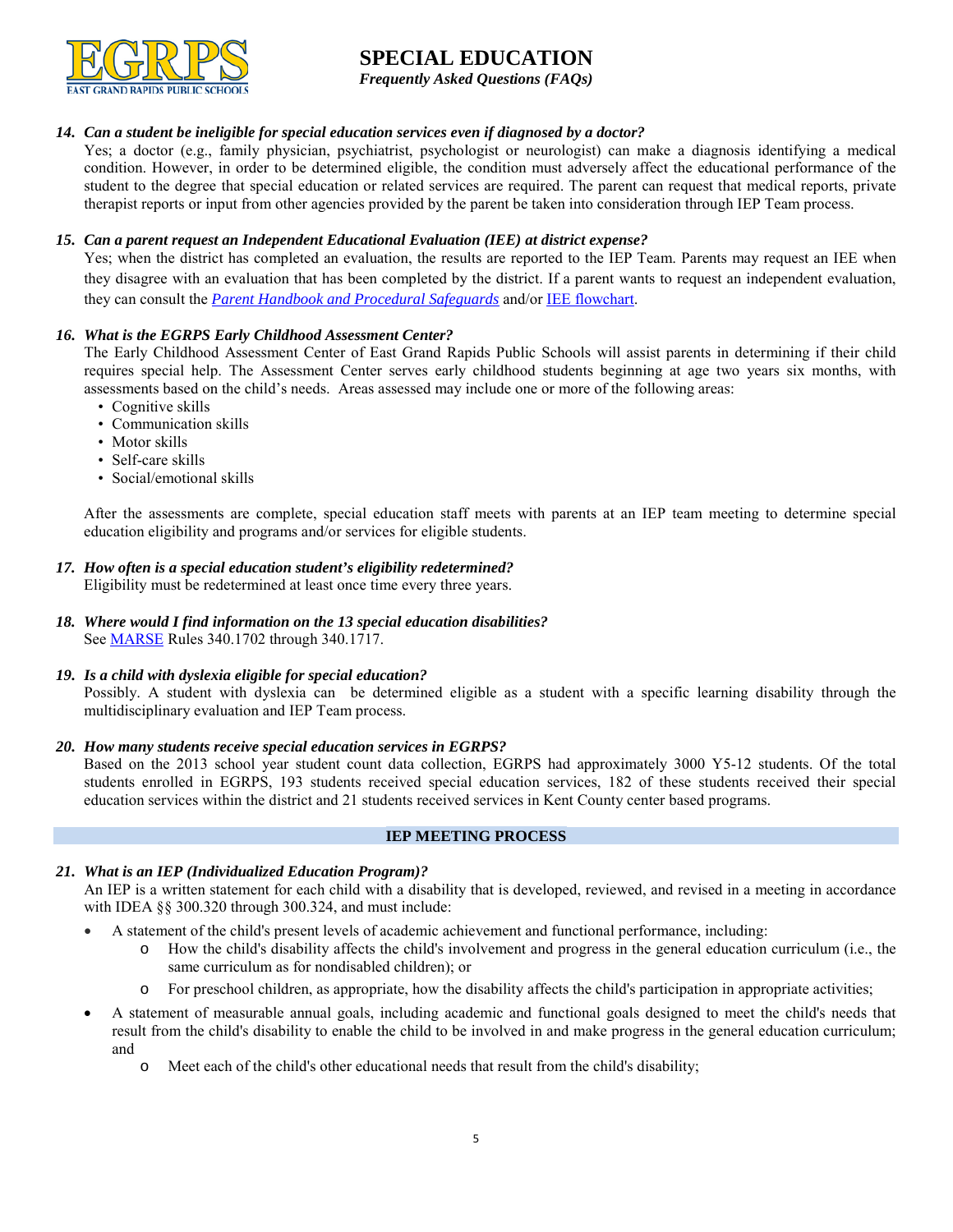

*Frequently Asked Questions (FAQs)* 

### *14. Can a student be ineligible for special education services even if diagnosed by a doctor?*

Yes; a doctor (e.g., family physician, psychiatrist, psychologist or neurologist) can make a diagnosis identifying a medical condition. However, in order to be determined eligible, the condition must adversely affect the educational performance of the student to the degree that special education or related services are required. The parent can request that medical reports, private therapist reports or input from other agencies provided by the parent be taken into consideration through IEP Team process.

### *15. Can a parent request an Independent Educational Evaluation (IEE) at district expense?*

Yes; when the district has completed an evaluation, the results are reported to the IEP Team. Parents may request an IEE when they disagree with an evaluation that has been completed by the district. If a parent wants to request an independent evaluation, they can consult the *[Parent Handbook and Procedural Safeguards](http://www.kentisd.org/downloads/sped_forms-guidelines/parent_handbook_with_procedural_safeguards_2017_updated.pdf)* and/or IEE [flowchart.](http://staging.egrps.catapultcms.com/1/documents/SpecialEducation/IEE%20Flowchart.pdf)

### *16. What is the EGRPS Early Childhood Assessment Center?*

The Early Childhood Assessment Center of East Grand Rapids Public Schools will assist parents in determining if their child requires special help. The Assessment Center serves early childhood students beginning at age two years six months, with assessments based on the child's needs. Areas assessed may include one or more of the following areas:

- Cognitive skills
- Communication skills
- Motor skills
- Self-care skills
- Social/emotional skills

After the assessments are complete, special education staff meets with parents at an IEP team meeting to determine special education eligibility and programs and/or services for eligible students.

- *17. How often is a special education student's eligibility redetermined?*  Eligibility must be redetermined at least once time every three years.
- *18. Where would I find information on the 13 special education disabilities?*  See [MARSE](http://www.kentisd.org/downloads/sped_forms-guidelines/marse_supplemented_with_idea_regs_379598_7_20121113_160838_37.pdf) Rules 340.1702 through 340.1717.
- *19. Is a child with dyslexia eligible for special education?*

Possibly. A student with dyslexia can be determined eligible as a student with a specific learning disability through the multidisciplinary evaluation and IEP Team process.

### *20. How many students receive special education services in EGRPS?*

Based on the 2013 school year student count data collection, EGRPS had approximately 3000 Y5-12 students. Of the total students enrolled in EGRPS, 193 students received special education services, 182 of these students received their special education services within the district and 21 students received services in Kent County center based programs.

### **IEP MEETING PROCESS**

### *21. What is an IEP (Individualized Education Program)?*

An IEP is a written statement for each child with a disability that is developed, reviewed, and revised in a meeting in accordance with IDEA §§ 300.320 through 300.324, and must include:

- A statement of the child's present levels of academic achievement and functional performance, including:
	- o How the child's disability affects the child's involvement and progress in the general education curriculum (i.e., the same curriculum as for nondisabled children); or
	- o For preschool children, as appropriate, how the disability affects the child's participation in appropriate activities;
- A statement of measurable annual goals, including academic and functional goals designed to meet the child's needs that result from the child's disability to enable the child to be involved in and make progress in the general education curriculum; and
	- o Meet each of the child's other educational needs that result from the child's disability;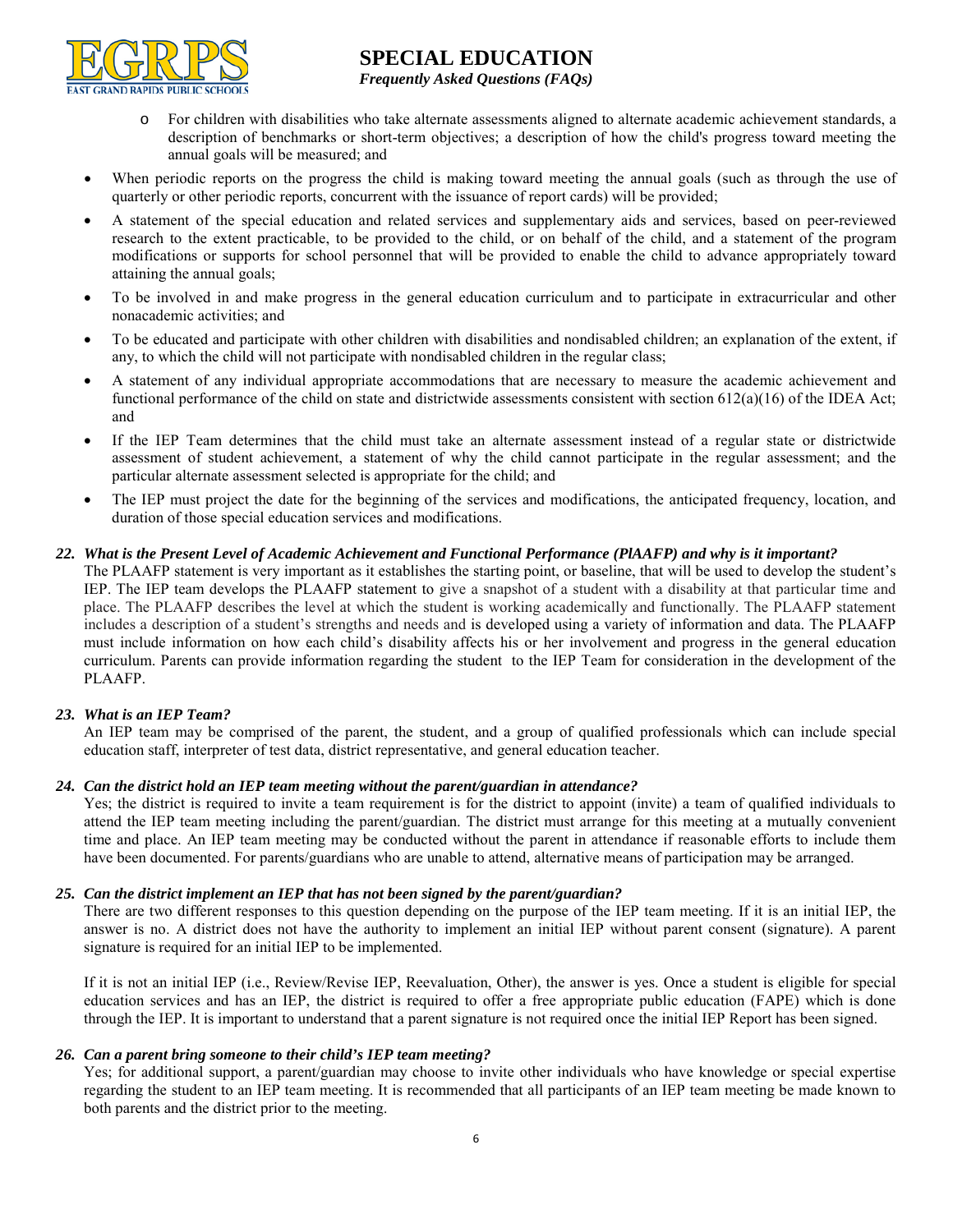

- o For children with disabilities who take alternate assessments aligned to alternate academic achievement standards, a description of benchmarks or short-term objectives; a description of how the child's progress toward meeting the annual goals will be measured; and
- When periodic reports on the progress the child is making toward meeting the annual goals (such as through the use of quarterly or other periodic reports, concurrent with the issuance of report cards) will be provided;
- A statement of the special education and related services and supplementary aids and services, based on peer-reviewed research to the extent practicable, to be provided to the child, or on behalf of the child, and a statement of the program modifications or supports for school personnel that will be provided to enable the child to advance appropriately toward attaining the annual goals;
- To be involved in and make progress in the general education curriculum and to participate in extracurricular and other nonacademic activities; and
- To be educated and participate with other children with disabilities and nondisabled children; an explanation of the extent, if any, to which the child will not participate with nondisabled children in the regular class;
- A statement of any individual appropriate accommodations that are necessary to measure the academic achievement and functional performance of the child on state and districtwide assessments consistent with section  $612(a)(16)$  of the IDEA Act; and
- If the IEP Team determines that the child must take an alternate assessment instead of a regular state or districtwide assessment of student achievement, a statement of why the child cannot participate in the regular assessment; and the particular alternate assessment selected is appropriate for the child; and
- The IEP must project the date for the beginning of the services and modifications, the anticipated frequency, location, and duration of those special education services and modifications.

### *22. What is the Present Level of Academic Achievement and Functional Performance (PlAAFP) and why is it important?*

The PLAAFP statement is very important as it establishes the starting point, or baseline, that will be used to develop the student's IEP. The IEP team develops the PLAAFP statement to give a snapshot of a student with a disability at that particular time and place. The PLAAFP describes the level at which the student is working academically and functionally. The PLAAFP statement includes a description of a student's strengths and needs and is developed using a variety of information and data. The PLAAFP must include information on how each child's disability affects his or her involvement and progress in the general education curriculum. Parents can provide information regarding the student to the IEP Team for consideration in the development of the PLAAFP.

### *23. What is an IEP Team?*

An IEP team may be comprised of the parent, the student, and a group of qualified professionals which can include special education staff, interpreter of test data, district representative, and general education teacher.

### *24. Can the district hold an IEP team meeting without the parent/guardian in attendance?*

Yes; the district is required to invite a team requirement is for the district to appoint (invite) a team of qualified individuals to attend the IEP team meeting including the parent/guardian. The district must arrange for this meeting at a mutually convenient time and place. An IEP team meeting may be conducted without the parent in attendance if reasonable efforts to include them have been documented. For parents/guardians who are unable to attend, alternative means of participation may be arranged.

### *25. Can the district implement an IEP that has not been signed by the parent/guardian?*

There are two different responses to this question depending on the purpose of the IEP team meeting. If it is an initial IEP, the answer is no. A district does not have the authority to implement an initial IEP without parent consent (signature). A parent signature is required for an initial IEP to be implemented.

If it is not an initial IEP (i.e., Review/Revise IEP, Reevaluation, Other), the answer is yes. Once a student is eligible for special education services and has an IEP, the district is required to offer a free appropriate public education (FAPE) which is done through the IEP. It is important to understand that a parent signature is not required once the initial IEP Report has been signed.

### *26. Can a parent bring someone to their child's IEP team meeting?*

Yes; for additional support, a parent/guardian may choose to invite other individuals who have knowledge or special expertise regarding the student to an IEP team meeting. It is recommended that all participants of an IEP team meeting be made known to both parents and the district prior to the meeting.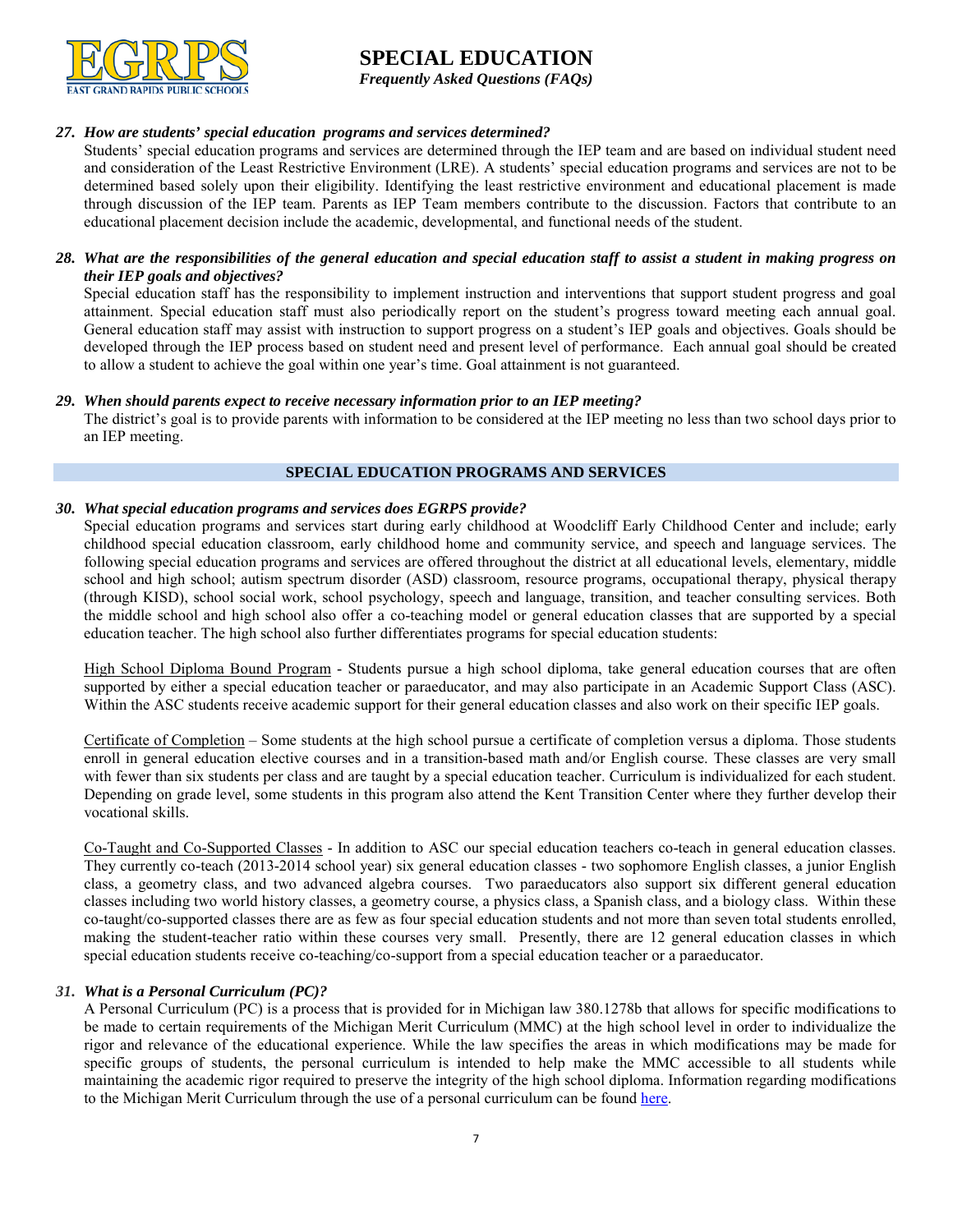

# **SPECIAL EDUCATION** *Frequently Asked Questions (FAQs)*

### *27. How are students' special education programs and services determined?*

Students' special education programs and services are determined through the IEP team and are based on individual student need and consideration of the Least Restrictive Environment (LRE). A students' special education programs and services are not to be determined based solely upon their eligibility. Identifying the least restrictive environment and educational placement is made through discussion of the IEP team. Parents as IEP Team members contribute to the discussion. Factors that contribute to an educational placement decision include the academic, developmental, and functional needs of the student.

### *28. What are the responsibilities of the general education and special education staff to assist a student in making progress on their IEP goals and objectives?*

Special education staff has the responsibility to implement instruction and interventions that support student progress and goal attainment. Special education staff must also periodically report on the student's progress toward meeting each annual goal. General education staff may assist with instruction to support progress on a student's IEP goals and objectives. Goals should be developed through the IEP process based on student need and present level of performance. Each annual goal should be created to allow a student to achieve the goal within one year's time. Goal attainment is not guaranteed.

### *29. When should parents expect to receive necessary information prior to an IEP meeting?*

The district's goal is to provide parents with information to be considered at the IEP meeting no less than two school days prior to an IEP meeting.

### **SPECIAL EDUCATION PROGRAMS AND SERVICES**

### *30. What special education programs and services does EGRPS provide?*

Special education programs and services start during early childhood at Woodcliff Early Childhood Center and include; early childhood special education classroom, early childhood home and community service, and speech and language services. The following special education programs and services are offered throughout the district at all educational levels, elementary, middle school and high school; autism spectrum disorder (ASD) classroom, resource programs, occupational therapy, physical therapy (through KISD), school social work, school psychology, speech and language, transition, and teacher consulting services. Both the middle school and high school also offer a co-teaching model or general education classes that are supported by a special education teacher. The high school also further differentiates programs for special education students:

High School Diploma Bound Program - Students pursue a high school diploma, take general education courses that are often supported by either a special education teacher or paraeducator, and may also participate in an Academic Support Class (ASC). Within the ASC students receive academic support for their general education classes and also work on their specific IEP goals.

Certificate of Completion – Some students at the high school pursue a certificate of completion versus a diploma. Those students enroll in general education elective courses and in a transition-based math and/or English course. These classes are very small with fewer than six students per class and are taught by a special education teacher. Curriculum is individualized for each student. Depending on grade level, some students in this program also attend the Kent Transition Center where they further develop their vocational skills.

Co-Taught and Co-Supported Classes - In addition to ASC our special education teachers co-teach in general education classes. They currently co-teach (2013-2014 school year) six general education classes - two sophomore English classes, a junior English class, a geometry class, and two advanced algebra courses. Two paraeducators also support six different general education classes including two world history classes, a geometry course, a physics class, a Spanish class, and a biology class. Within these co-taught/co-supported classes there are as few as four special education students and not more than seven total students enrolled, making the student-teacher ratio within these courses very small. Presently, there are 12 general education classes in which special education students receive co-teaching/co-support from a special education teacher or a paraeducator.

### *31. What is a Personal Curriculum (PC)?*

A Personal Curriculum (PC) is a process that is provided for in Michigan law 380.1278b that allows for specific modifications to be made to certain requirements of the Michigan Merit Curriculum (MMC) at the high school level in order to individualize the rigor and relevance of the educational experience. While the law specifies the areas in which modifications may be made for specific groups of students, the personal curriculum is intended to help make the MMC accessible to all students while maintaining the academic rigor required to preserve the integrity of the high school diploma. Information regarding modifications to the Michigan Merit Curriculum through the use of a personal curriculum can be found [here.](http://www.kentisd.org/downloads/sped_instruction-assesment/pc_faq_20100707_135039_12_20121116_104131_12.pdf)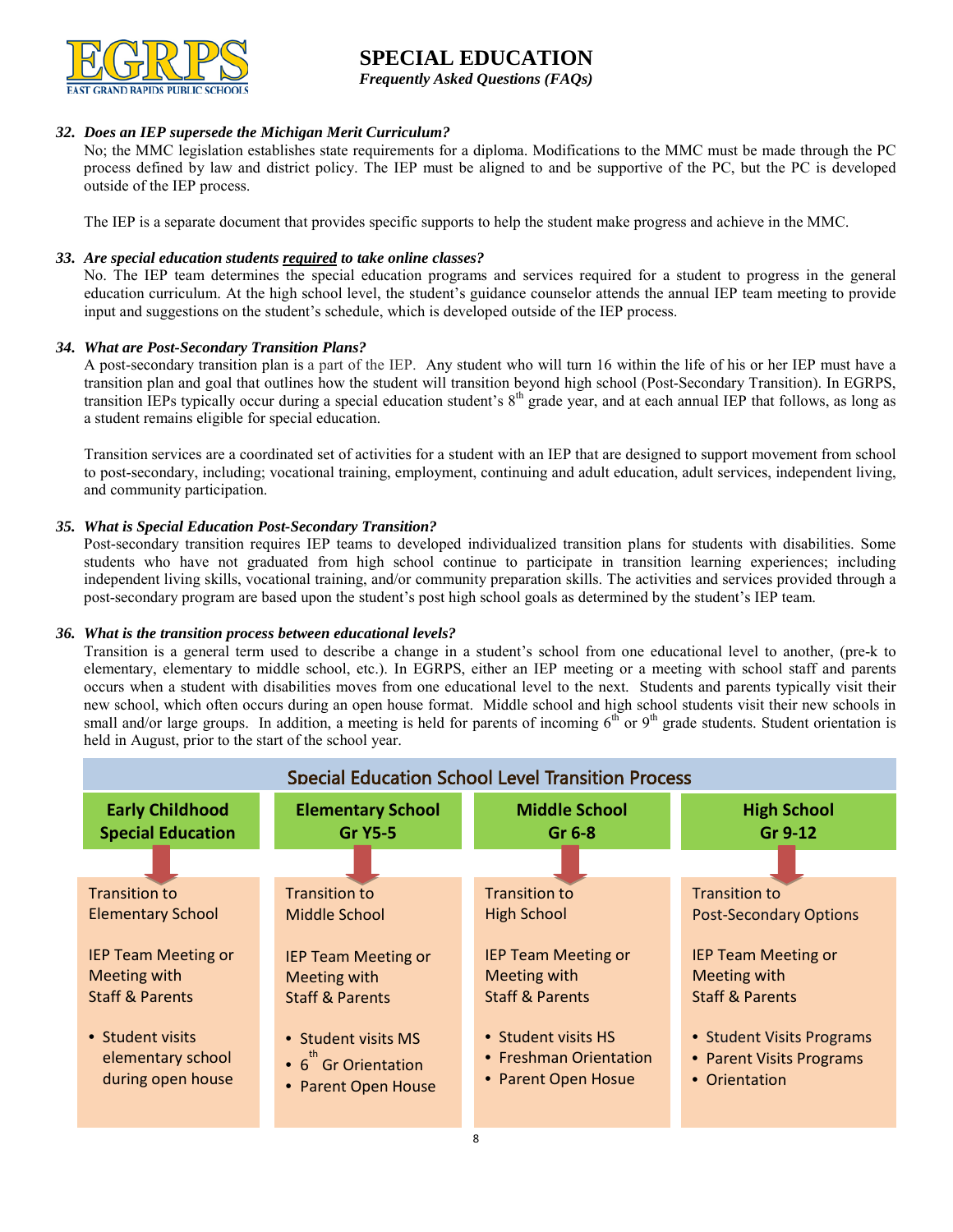

### *32. Does an IEP supersede the Michigan Merit Curriculum?*

No; the MMC legislation establishes state requirements for a diploma. Modifications to the MMC must be made through the PC process defined by law and district policy. The IEP must be aligned to and be supportive of the PC, but the PC is developed outside of the IEP process.

The IEP is a separate document that provides specific supports to help the student make progress and achieve in the MMC.

### *33. Are special education students required to take online classes?*

No. The IEP team determines the special education programs and services required for a student to progress in the general education curriculum. At the high school level, the student's guidance counselor attends the annual IEP team meeting to provide input and suggestions on the student's schedule, which is developed outside of the IEP process.

### *34. What are Post-Secondary Transition Plans?*

A post-secondary transition plan is a part of the IEP. Any student who will turn 16 within the life of his or her IEP must have a transition plan and goal that outlines how the student will transition beyond high school (Post-Secondary Transition). In EGRPS, transition IEPs typically occur during a special education student's 8<sup>th</sup> grade year, and at each annual IEP that follows, as long as a student remains eligible for special education.

Transition services are a coordinated set of activities for a student with an IEP that are designed to support movement from school to post-secondary, including; vocational training, employment, continuing and adult education, adult services, independent living, and community participation.

### *35. What is Special Education Post-Secondary Transition?*

Post-secondary transition requires IEP teams to developed individualized transition plans for students with disabilities. Some students who have not graduated from high school continue to participate in transition learning experiences; including independent living skills, vocational training, and/or community preparation skills. The activities and services provided through a post-secondary program are based upon the student's post high school goals as determined by the student's IEP team.

### *36. What is the transition process between educational levels?*

Transition is a general term used to describe a change in a student's school from one educational level to another, (pre-k to elementary, elementary to middle school, etc.). In EGRPS, either an IEP meeting or a meeting with school staff and parents occurs when a student with disabilities moves from one educational level to the next. Students and parents typically visit their new school, which often occurs during an open house format. Middle school and high school students visit their new schools in small and/or large groups. In addition, a meeting is held for parents of incoming  $6<sup>th</sup>$  or  $9<sup>th</sup>$  grade students. Student orientation is held in August, prior to the start of the school year.

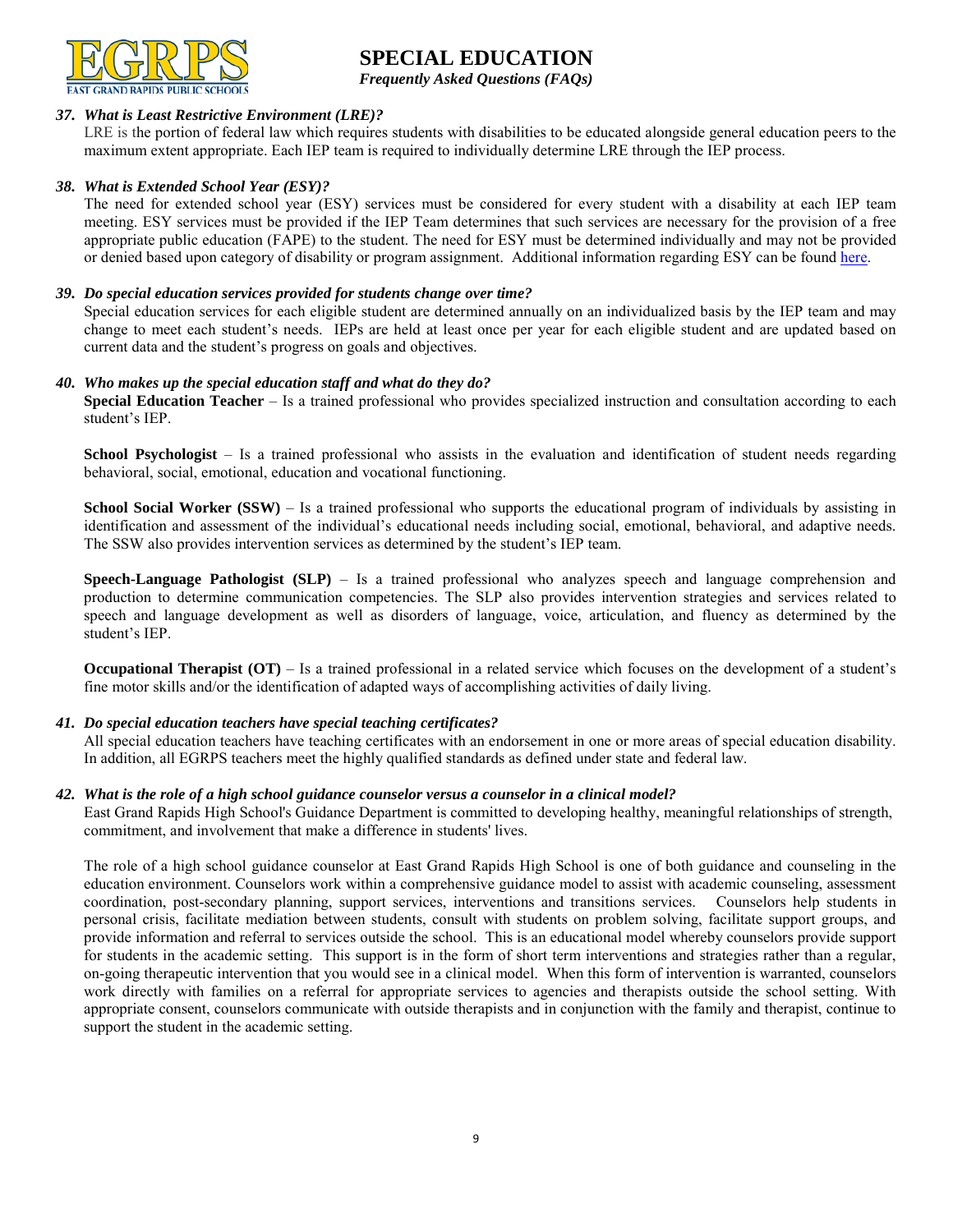

*Frequently Asked Questions (FAQs)* 

### *37. What is Least Restrictive Environment (LRE)?*

LRE is the portion of federal law which requires students with disabilities to be educated alongside general education peers to the maximum extent appropriate. Each IEP team is required to individually determine LRE through the IEP process.

### *38. What is Extended School Year (ESY)?*

The need for extended school year (ESY) services must be considered for every student with a disability at each IEP team meeting. ESY services must be provided if the IEP Team determines that such services are necessary for the provision of a free appropriate public education (FAPE) to the student. The need for ESY must be determined individually and may not be provided or denied based upon category of disability or program assignment. Additional information regarding ESY can be found here.

### *39. Do special education services provided for students change over time?*

Special education services for each eligible student are determined annually on an individualized basis by the IEP team and may change to meet each student's needs. IEPs are held at least once per year for each eligible student and are updated based on current data and the student's progress on goals and objectives.

### *40. Who makes up the special education staff and what do they do?*

**Special Education Teacher** – Is a trained professional who provides specialized instruction and consultation according to each student's IEP.

**School Psychologist** – Is a trained professional who assists in the evaluation and identification of student needs regarding behavioral, social, emotional, education and vocational functioning.

**School Social Worker (SSW)** – Is a trained professional who supports the educational program of individuals by assisting in identification and assessment of the individual's educational needs including social, emotional, behavioral, and adaptive needs. The SSW also provides intervention services as determined by the student's IEP team.

**Speech-Language Pathologist (SLP)** – Is a trained professional who analyzes speech and language comprehension and production to determine communication competencies. The SLP also provides intervention strategies and services related to speech and language development as well as disorders of language, voice, articulation, and fluency as determined by the student's IEP.

**Occupational Therapist (OT)** – Is a trained professional in a related service which focuses on the development of a student's fine motor skills and/or the identification of adapted ways of accomplishing activities of daily living.

### *41. Do special education teachers have special teaching certificates?*

All special education teachers have teaching certificates with an endorsement in one or more areas of special education disability. In addition, all EGRPS teachers meet the highly qualified standards as defined under state and federal law.

### *42. What is the role of a high school guidance counselor versus a counselor in a clinical model?*

East Grand Rapids High School's Guidance Department is committed to developing healthy, meaningful relationships of strength, commitment, and involvement that make a difference in students' lives.

The role of a high school guidance counselor at East Grand Rapids High School is one of both guidance and counseling in the education environment. Counselors work within a comprehensive guidance model to assist with academic counseling, assessment coordination, post-secondary planning, support services, interventions and transitions services. Counselors help students in personal crisis, facilitate mediation between students, consult with students on problem solving, facilitate support groups, and provide information and referral to services outside the school. This is an educational model whereby counselors provide support for students in the academic setting. This support is in the form of short term interventions and strategies rather than a regular, on-going therapeutic intervention that you would see in a clinical model. When this form of intervention is warranted, counselors work directly with families on a referral for appropriate services to agencies and therapists outside the school setting. With appropriate consent, counselors communicate with outside therapists and in conjunction with the family and therapist, continue to support the student in the academic setting.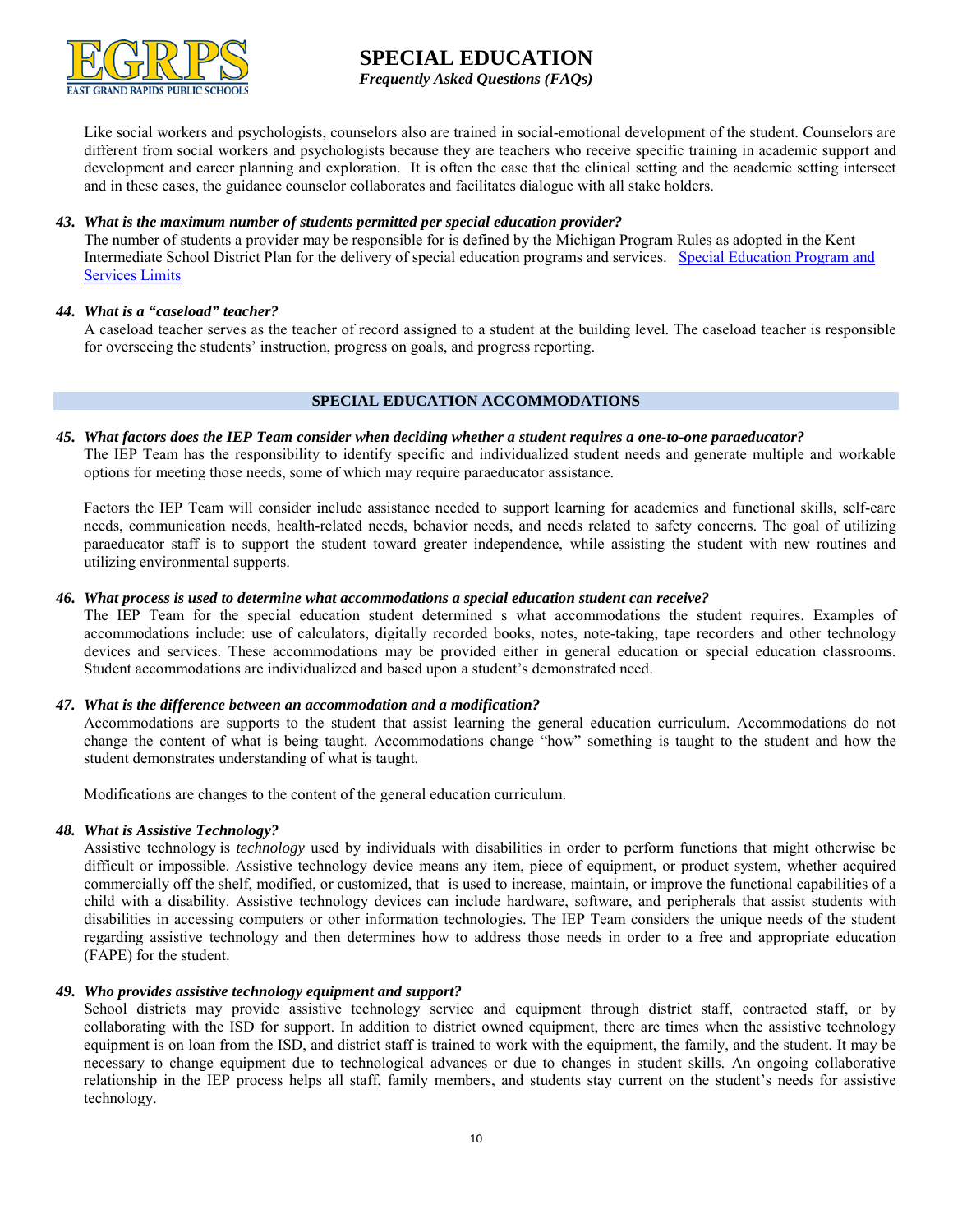

Like social workers and psychologists, counselors also are trained in social-emotional development of the student. Counselors are different from social workers and psychologists because they are teachers who receive specific training in academic support and development and career planning and exploration. It is often the case that the clinical setting and the academic setting intersect and in these cases, the guidance counselor collaborates and facilitates dialogue with all stake holders.

### *43. What is the maximum number of students permitted per special education provider?*

The number of students a provider may be responsible for is defined by the Michigan Program Rules as adopted in the Kent Intermediate School District Plan for the delivery of special education programs and services. [Special Education Program and](http://www.egrps.org/documents/SpecialEducation/KentIntermediateSchoolDistrictProgramLimits.pdf)  [Services Limits](http://www.egrps.org/documents/SpecialEducation/KentIntermediateSchoolDistrictProgramLimits.pdf)

### *44. What is a "caseload" teacher?*

A caseload teacher serves as the teacher of record assigned to a student at the building level. The caseload teacher is responsible for overseeing the students' instruction, progress on goals, and progress reporting.

### **SPECIAL EDUCATION ACCOMMODATIONS**

### *45. What factors does the IEP Team consider when deciding whether a student requires a one-to-one paraeducator?*  The IEP Team has the responsibility to identify specific and individualized student needs and generate multiple and workable options for meeting those needs, some of which may require paraeducator assistance.

Factors the IEP Team will consider include assistance needed to support learning for academics and functional skills, self-care needs, communication needs, health-related needs, behavior needs, and needs related to safety concerns. The goal of utilizing paraeducator staff is to support the student toward greater independence, while assisting the student with new routines and utilizing environmental supports.

### *46. What process is used to determine what accommodations a special education student can receive?*

The IEP Team for the special education student determined s what accommodations the student requires. Examples of accommodations include: use of calculators, digitally recorded books, notes, note-taking, tape recorders and other technology devices and services. These accommodations may be provided either in general education or special education classrooms. Student accommodations are individualized and based upon a student's demonstrated need.

### *47. What is the difference between an accommodation and a modification?*

Accommodations are supports to the student that assist learning the general education curriculum. Accommodations do not change the content of what is being taught. Accommodations change "how" something is taught to the student and how the student demonstrates understanding of what is taught.

Modifications are changes to the content of the general education curriculum.

### *48. What is Assistive Technology?*

Assistive technology is *technology* used by individuals with disabilities in order to perform functions that might otherwise be difficult or impossible. Assistive technology device means any item, piece of equipment, or product system, whether acquired commercially off the shelf, modified, or customized, that is used to increase, maintain, or improve the functional capabilities of a child with a disability. Assistive technology devices can include hardware, software, and peripherals that assist students with disabilities in accessing computers or other information technologies. The IEP Team considers the unique needs of the student regarding assistive technology and then determines how to address those needs in order to a free and appropriate education (FAPE) for the student.

### *49. Who provides assistive technology equipment and support?*

School districts may provide assistive technology service and equipment through district staff, contracted staff, or by collaborating with the ISD for support. In addition to district owned equipment, there are times when the assistive technology equipment is on loan from the ISD, and district staff is trained to work with the equipment, the family, and the student. It may be necessary to change equipment due to technological advances or due to changes in student skills. An ongoing collaborative relationship in the IEP process helps all staff, family members, and students stay current on the student's needs for assistive technology.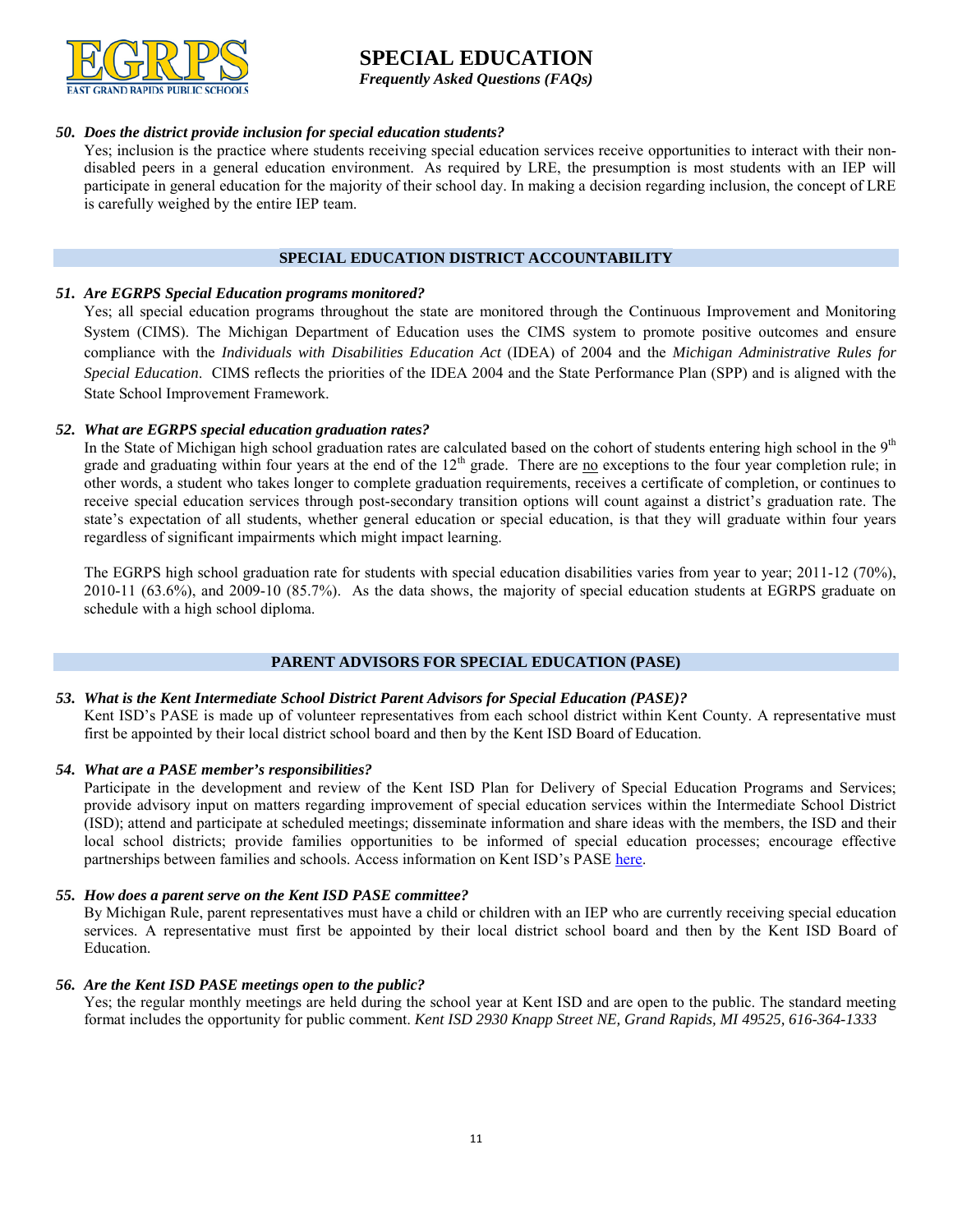

### *50. Does the district provide inclusion for special education students?*

Yes; inclusion is the practice where students receiving special education services receive opportunities to interact with their nondisabled peers in a general education environment. As required by LRE, the presumption is most students with an IEP will participate in general education for the majority of their school day. In making a decision regarding inclusion, the concept of LRE is carefully weighed by the entire IEP team.

### **SPECIAL EDUCATION DISTRICT ACCOUNTABILITY**

### *51. Are EGRPS Special Education programs monitored?*

Yes; all special education programs throughout the state are monitored through the Continuous Improvement and Monitoring System (CIMS). The Michigan Department of Education uses the CIMS system to promote positive outcomes and ensure compliance with the *Individuals with Disabilities Education Act* (IDEA) of 2004 and the *Michigan Administrative Rules for Special Education*. CIMS reflects the priorities of the IDEA 2004 and the State Performance Plan (SPP) and is aligned with the State School Improvement Framework.

### *52. What are EGRPS special education graduation rates?*

In the State of Michigan high school graduation rates are calculated based on the cohort of students entering high school in the 9<sup>th</sup> grade and graduating within four years at the end of the  $12<sup>th</sup>$  grade. There are <u>no</u> exceptions to the four year completion rule; in other words, a student who takes longer to complete graduation requirements, receives a certificate of completion, or continues to receive special education services through post-secondary transition options will count against a district's graduation rate. The state's expectation of all students, whether general education or special education, is that they will graduate within four years regardless of significant impairments which might impact learning.

The EGRPS high school graduation rate for students with special education disabilities varies from year to year; 2011-12 (70%), 2010-11 (63.6%), and 2009-10 (85.7%). As the data shows, the majority of special education students at EGRPS graduate on schedule with a high school diploma.

### **PARENT ADVISORS FOR SPECIAL EDUCATION (PASE)**

### *53. What is the Kent Intermediate School District Parent Advisors for Special Education (PASE)?*

Kent ISD's PASE is made up of volunteer representatives from each school district within Kent County. A representative must first be appointed by their local district school board and then by the Kent ISD Board of Education.

### *54. What are a PASE member's responsibilities?*

Participate in the development and review of the Kent ISD Plan for Delivery of Special Education Programs and Services; provide advisory input on matters regarding improvement of special education services within the Intermediate School District (ISD); attend and participate at scheduled meetings; disseminate information and share ideas with the members, the ISD and their local school districts; provide families opportunities to be informed of special education processes; encourage effective partnerships between families and schools. Access information on Kent ISD's PASE [here.](http://www.kentisd.org/instructional-services/special-education/services/pase-/)

### *55. How does a parent serve on the Kent ISD PASE committee?*

By Michigan Rule, parent representatives must have a child or children with an IEP who are currently receiving special education services. A representative must first be appointed by their local district school board and then by the Kent ISD Board of Education.

### *56. Are the Kent ISD PASE meetings open to the public?*

Yes; the regular monthly meetings are held during the school year at Kent ISD and are open to the public. The standard meeting format includes the opportunity for public comment. *Kent ISD 2930 Knapp Street NE, Grand Rapids, MI 49525, 616-364-1333*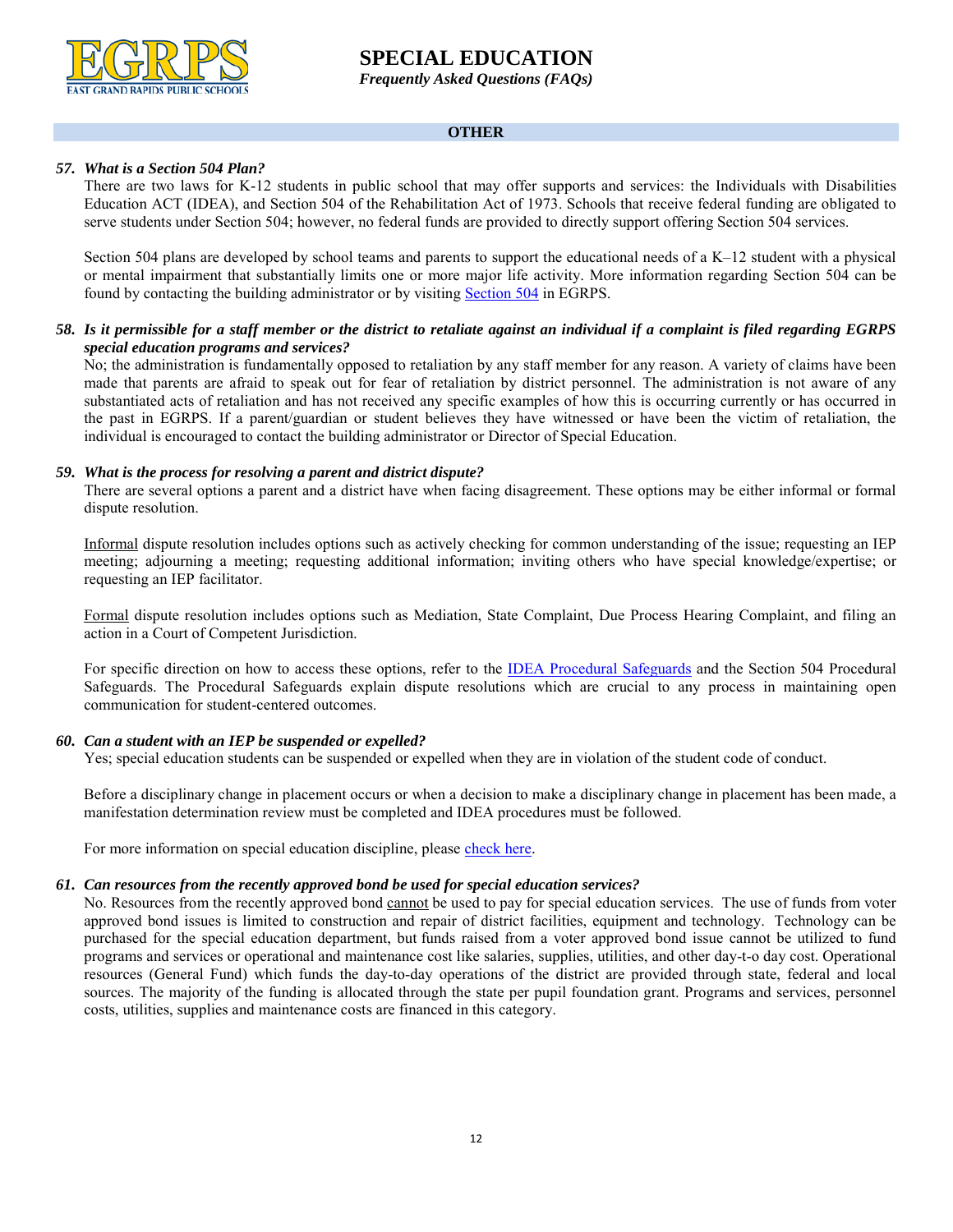

*Frequently Asked Questions (FAQs)* 

### **OTHER**

### *57. What is a Section 504 Plan?*

There are two laws for K-12 students in public school that may offer supports and services: the Individuals with Disabilities Education ACT (IDEA), and Section 504 of the Rehabilitation Act of 1973. Schools that receive federal funding are obligated to serve students under Section 504; however, no federal funds are provided to directly support offering Section 504 services.

Section 504 plans are developed by school teams and parents to support the educational needs of a K–12 student with a physical or mental impairment that substantially limits one or more major life activity. More information regarding Section 504 can be found by contacting the building administrator or by visiting [Section 504](http://www.egrps.org/District/Curriculum/Section-504/index.html) in EGRPS.

### *58. Is it permissible for a staff member or the district to retaliate against an individual if a complaint is filed regarding EGRPS special education programs and services?*

No; the administration is fundamentally opposed to retaliation by any staff member for any reason. A variety of claims have been made that parents are afraid to speak out for fear of retaliation by district personnel. The administration is not aware of any substantiated acts of retaliation and has not received any specific examples of how this is occurring currently or has occurred in the past in EGRPS. If a parent/guardian or student believes they have witnessed or have been the victim of retaliation, the individual is encouraged to contact the building administrator or Director of Special Education.

### *59. What is the process for resolving a parent and district dispute?*

There are several options a parent and a district have when facing disagreement. These options may be either informal or formal dispute resolution.

Informal dispute resolution includes options such as actively checking for common understanding of the issue; requesting an IEP meeting; adjourning a meeting; requesting additional information; inviting others who have special knowledge/expertise; or requesting an IEP facilitator.

Formal dispute resolution includes options such as Mediation, State Complaint, Due Process Hearing Complaint, and filing an action in a Court of Competent Jurisdiction.

For specific direction on how to access these options, refer to the [IDEA Procedural Safeguards](http://www.kentisd.org/downloads/sped_forms-guidelines/parent_handbook_with_procedural_safeguards_2017_updated.pdf) and the Section 504 Procedural Safeguards. The Procedural Safeguards explain dispute resolutions which are crucial to any process in maintaining open communication for student-centered outcomes.

### *60. Can a student with an IEP be suspended or expelled?*

Yes; special education students can be suspended or expelled when they are in violation of the student code of conduct.

Before a disciplinary change in placement occurs or when a decision to make a disciplinary change in placement has been made, a manifestation determination review must be completed and IDEA procedures must be followed.

For more information on special education discipline, please [check here](http://www.kentisd.org/instructional-services/special-education/guidelinesmanualsforms/).

### *61. Can resources from the recently approved bond be used for special education services?*

No. Resources from the recently approved bond cannot be used to pay for special education services. The use of funds from voter approved bond issues is limited to construction and repair of district facilities, equipment and technology. Technology can be purchased for the special education department, but funds raised from a voter approved bond issue cannot be utilized to fund programs and services or operational and maintenance cost like salaries, supplies, utilities, and other day-t-o day cost. Operational resources (General Fund) which funds the day-to-day operations of the district are provided through state, federal and local sources. The majority of the funding is allocated through the state per pupil foundation grant. Programs and services, personnel costs, utilities, supplies and maintenance costs are financed in this category.